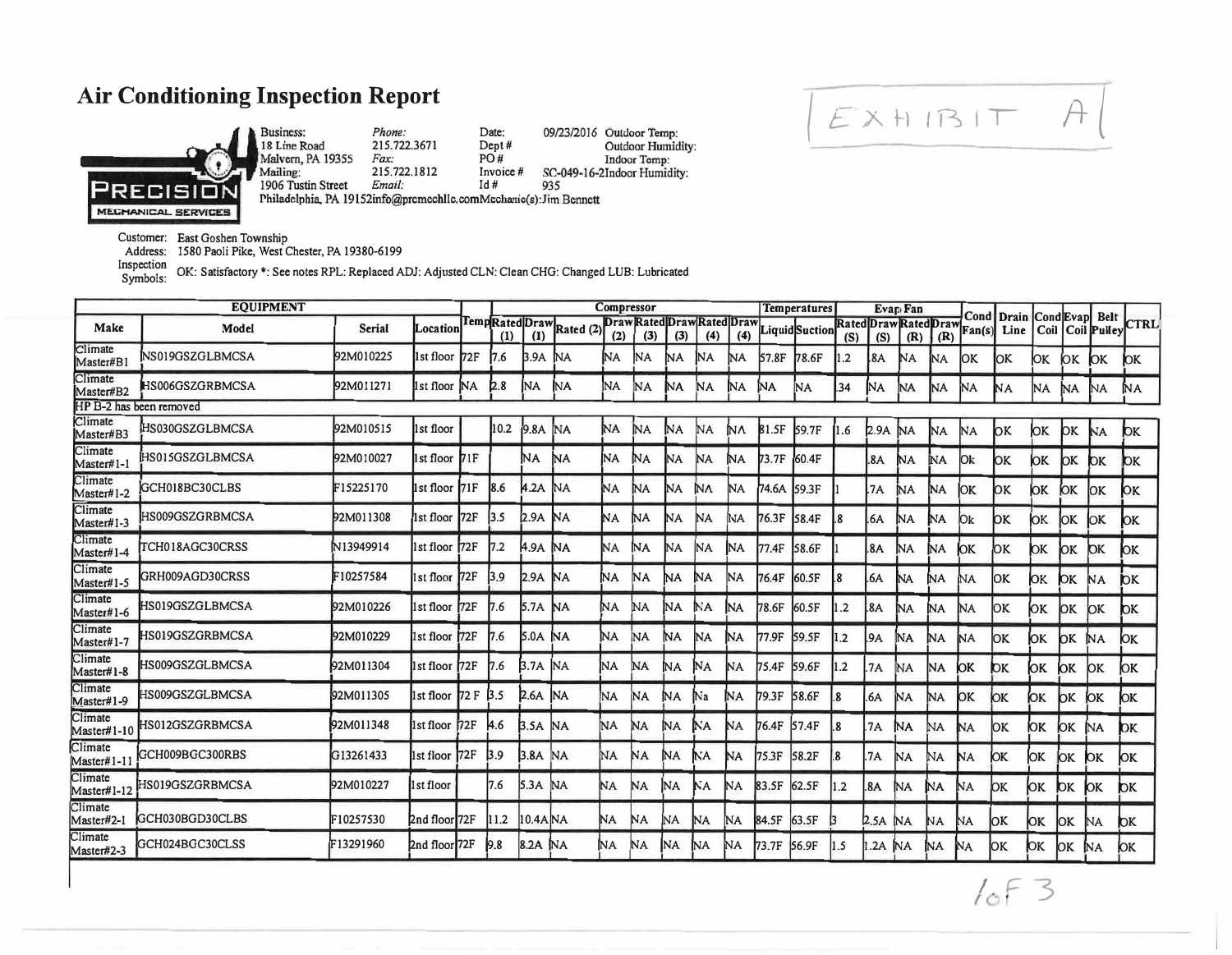## **Air Conditioning Inspection Report**



Business: *Phone:*  Date: Bashness.<br>18 Line Road<br>Malvern, PA 19355 215.722.3671 Dept# PO# *Fax:*  Mailing: 215.722. 1812 Invoice# 1906 Tustin Street Email: Id #935<br>Philadelphia, PA 19152info@premechllc.comMechanic(s):Jim Bennett 1906 Tustin Street *Email:*  935

09/23/2016 Outdoor Temp: Outdoor Humidity: Indoor Temp: SC-049-16-2Indoor Humidity:

Customer: East Goshen Township

Address: 1580 Paoli Pike, West Chester, PA 19380-6199

Inspection Symbols: OK: Satisfactory \*: See notes RPL: Replaced ADJ: Adjusted CLN: Clean CHG: Changed LUB: Lubricated

| <b>EQUIPMENT</b>        |                 |               |               |           |            | Compressor       |                       |           |           |           |                                   |           | <b>Temperatures</b> | Evan Fan      |                              |           |           |           |                |               |      |                        |                                     |                        |
|-------------------------|-----------------|---------------|---------------|-----------|------------|------------------|-----------------------|-----------|-----------|-----------|-----------------------------------|-----------|---------------------|---------------|------------------------------|-----------|-----------|-----------|----------------|---------------|------|------------------------|-------------------------------------|------------------------|
| Make                    | Model           | <b>Serial</b> | Location      |           |            | $\bf(1)$         | TempRatedDrawRated(2) | (2)       | (3)       | (3)       | Draw Rated Draw Rated Draw<br>(4) | (4)       |                     | LiquidSuction | Rated Draw Rated Draw<br>(S) | (S)       | (R)       | (R)       | Cond<br>Fan(s) | Drain<br>Line |      | Cond Evap              | <b>Belt</b><br>Coil   Coil   Pulley | <b>CTRL</b>            |
| Climate<br>Master#B1    | NS019GSZGLBMCSA | 92M010225     | 1st floor     | 172F      | I7.6       | 3.9A             | <b>NA</b>             | NA.       | NA        | NΑ        | INA                               | NA        | l57.8F              | 178.6F        | 1.2                          | .8A       | ΝA        | NA.       | ЮK             | lок           | ЮК   | ЮK                     | ЮK                                  | ЮK                     |
| Climate<br>Master#B2    | HS006GSZGRBMCSA | 92M011271     | 1st floor     | <b>NA</b> | 2.8        | INA.             | 'NА                   | NA        | NA        | ΝA        | <b>NA</b>                         | NA        | NА                  | NA            | .34                          | NA        | <b>NA</b> | INA.      | NA             | NА            | INA. | ΝA                     | <b>NA</b>                           | NА                     |
| HP B-2 has been removed |                 |               |               |           |            |                  |                       |           |           |           |                                   |           |                     |               |                              |           |           |           |                |               |      |                        |                                     |                        |
| Climate<br>Master#B3    | HS030GSZGLBMCSA | 92M010515     | 1st floor     |           | 10.2       | 9.8A             | <b>NA</b>             | <b>NA</b> | NА        | ÌNА       | <b>NA</b>                         | <b>NA</b> | 81.5F               | 59.7F         | 1.6                          | 2.9A      | <b>NA</b> | <b>NA</b> | NA             | lок           | ЮK   | <b>lok</b>             | <b>NA</b>                           | $\mathbf{p}$           |
| Climate<br>Master#1-1   | HS015GSZGLBMCSA | 92M010027     | 1st floor 71F |           |            | ΝA.              | ΝA                    | <b>NA</b> | NА        | NA.       | <b>NA</b>                         | NА        | 73.7F               | 160.4F        |                              | .8A       | ΝA        | <b>NA</b> | l0k            | lок           | ЮK   | ЮK                     | $\mathbf{D}$ K                      | bк                     |
| Climate<br>Master#1-2   | GCH018BC30CLBS  | F15225170     | lst floor     | 171F      | 18.6       | .2A              | NA                    | NA.       | NА        | NA        | NΛ                                | NA        | 74.6A               | I59.3F        |                              | .7A       | ΝA        | INA       | ЮK             | ЮK            | ЮK   | ЮK                     | <b>IOK</b>                          | OK                     |
| Climate<br>Master#1-3   | HS009GSZGRBMCSA | 92M011308     | 1st floor     | 172F      | 3.5        | 2.9A             | <b>NA</b>             | 'NА       | NА        | NA        | NA.                               | ΝA        | 76.3F               | <b>58.4F</b>  |                              | .6A       | ΝA        | NΑ        | 10k            | ЮK            | ЮK   | ЮK                     | <b>JOK</b>                          | OК                     |
| Climate<br>Master#1-4   | TCH018AGC30CRSS | N13949914     | 1st floor     | 172F      | 17.2       | 4.9A             | ΝA.                   | <b>NA</b> | NA        | NA        | NA                                | NA.       | 77.4F               | 58.6F         |                              | .8A       | ΝA        | ΝA        | ЮK             | ЮK            | ЮK   | lok.                   | <b>OK</b>                           | ЮK                     |
| Climate<br>Master#1-5   | GRH009AGD30CRSS | F10257584     | 1st floor     | 72F       | 3.9        | 2.9A             | <b>NA</b>             | NА        | NA        | ΝA        | ΝA                                | INA.      | 76.4F               | 60.5F         |                              | .6A       | NA        | ΝA        | INA.           | ЮK            | ЮK   | ЮK.                    | NА                                  | $\mathbf{p}$           |
| Climate<br>Master#1-6   | HS019GSZGLBMCSA | 92M010226     | 1st floor     | 72F       | 17.6       | <b>5.7A</b>      | <b>NA</b>             | NА        | ΝA        | ΝA        | NΑ                                | INA       | 78.6F               | 60.5F         | $\cdot$                      | 8A        | NА        | NA.       | IΝA            | OΚ            | ЮΚ   | lок                    | lок                                 | $\mathsf{D}\mathsf{K}$ |
| Climate<br>Master#1-7   | HS019GSZGRBMCSA | 92M010229     | 1st floor 72F |           | 17.6       | <b>5.0A</b>      | <b>NA</b>             | NА        | NA        | <b>NA</b> | NA                                | IΝA       | 77.9F               | 59.5F         | $\cdot$ .2                   | .9A       | ΝA        | ΝA        | İΝA            | lОK           | ЮK   | lок                    | ΝA                                  | lок                    |
| Climate<br>Master#1-8   | HS009GSZGLBMCSA | 92M011304     | 1st floor 72F |           | 17.6       | 3.7A             | <b>NA</b>             | NA        | ΝA        | <b>NA</b> | ΝA                                | <b>NA</b> | 75.4F               | 59.6F         | $\cdot$ .2                   | .7A       | ΝA        | NA        | ЮK             | DК            | ЮK   | ЮK                     | lок                                 | ЮK                     |
| Climate<br>Master#1-9   | HS009GSZGLBMCSA | 92M011305     | 1st floor     | 72 F 3.5  |            | P.6A             | <b>NA</b>             | <b>NA</b> | NA        | NА        | Na                                | NА        | 79.3F               | 58.6F         | 1.8                          | .6A       | ÍМA       | NА        | lок            | ЮK            | ÌОK  | lок                    | ЮK                                  | ЮK                     |
| Climate<br>Master#1-10  | HS012GSZGRBMCSA | 92M011348     | 1st floor 72F |           | <b>4.6</b> | <b>B.5A</b>      | <b>NA</b>             | <b>NA</b> | <b>NA</b> | NA        | NΑ                                | lΝA       | 76.4F               | 57.4F         | .8                           | <b>7A</b> | NА        | NA        | INA            | ОK            | ЮK   | ЮK                     | <b>NA</b>                           | bк                     |
| Climate<br>Master#1-1   | GCH009BGC300RBS | G13261433     | 1st floor 72F |           | 3.9        | 3.8 <sub>A</sub> | <b>NA</b>             | NA        | NA        | NА        | NА                                | INA       | 75.3F               | 58.2F         | .8                           | .7A       | NA        | NA        | lΝA            | ЮK            | ЮΚ   | ЮK                     | ЮK                                  | ЮK                     |
| Climate<br>Master#1-12  | HS019GSZGRBMCSA | 92M010227     | 1st floor     |           | 17.6       | 5.3A             | <b>NA</b>             | NA.       | NA.       | NA.       | NA                                | <b>NA</b> | 83.5F               | 62.5F         | 1.2                          | .8A       | NА        | ΝA        | NΑ             | lок           | ЮK   | $\mathsf{D}\mathsf{K}$ | ЮK                                  | $\mathbf{p}$           |
| Climate<br>Master#2-1   | GCH030BGD30CLBS | F10257530     | 2nd floor 72F |           | 11.2       | $10.4$ A $NA$    |                       | NA        | INA.      | NA.       | <b>NA</b>                         | <b>NA</b> | 84.5F               | 63.5F         |                              | 2.5A      | <b>NA</b> | ΝA.       | <b>NA</b>      | 10K           | ЮK   | OK                     | <b>NA</b>                           | $\mathbf{p}$           |
| Climate<br>Master#2-3   | GCH024BGC30CLSS | F13291960     | 2nd floor 72F |           | 9.8        | 8.2A NA          |                       | NA        | INA.      | INA.      | ΝA.                               | 'NΑ       | <b>73.7F</b>        | 156.9F        | 11.5                         | $.2A$ NA  |           | <b>NA</b> | ÍМ             | lок           | ЮK   | lок                    | <b>NA</b>                           | ЮK                     |

 $I_0F_3$ 

 $E$ xh<sub>1</sub>B<sub>IT</sub>  $A$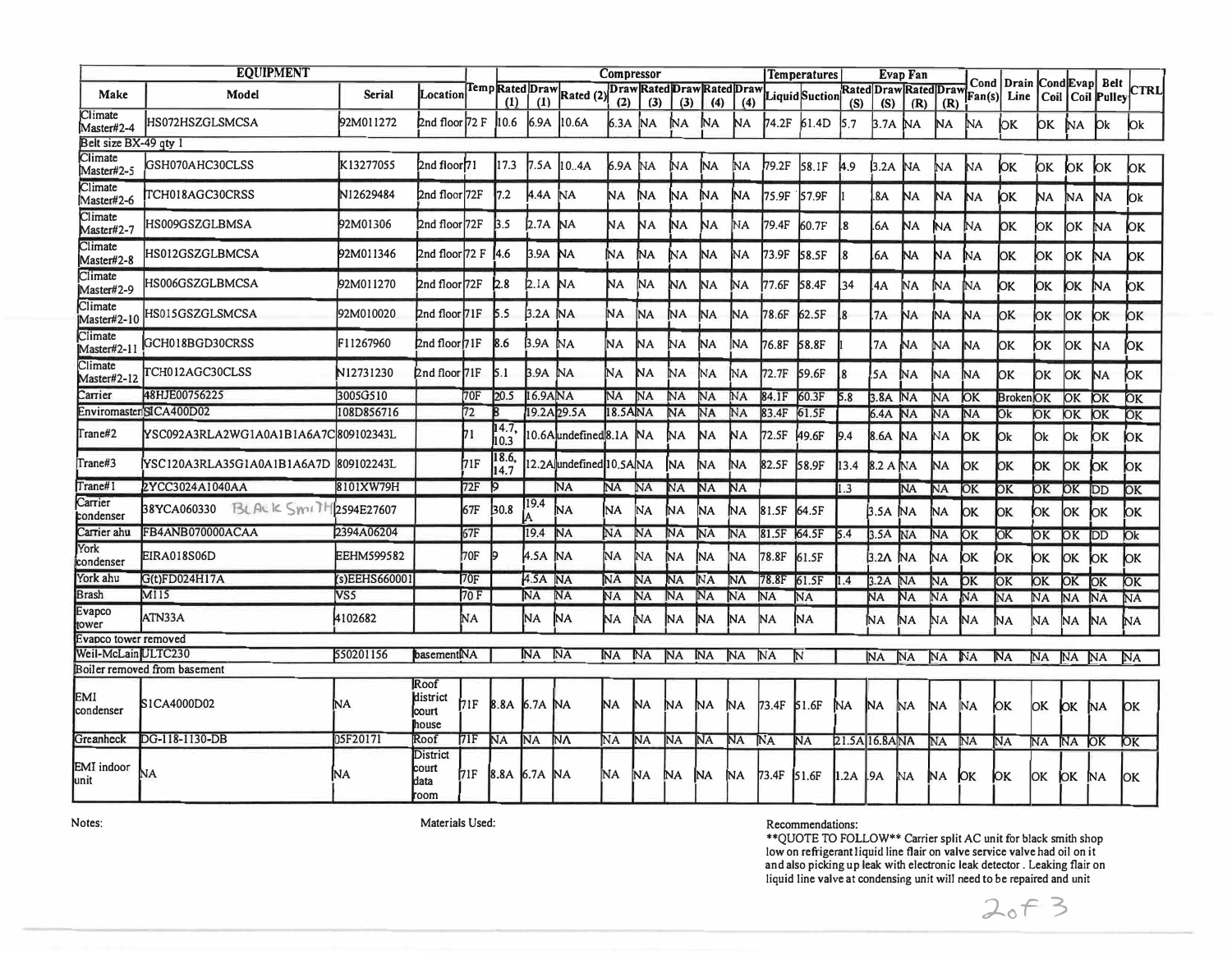| <b>EQUIPMENT</b>       |                                      |                   |                                     |      |               |                     |                          | Compressor |                |                |                                   |                |             | <b>Temperatures</b>                  |                | Evap Fan  |                |           |                        |                         |     |               |                                                               |             |
|------------------------|--------------------------------------|-------------------|-------------------------------------|------|---------------|---------------------|--------------------------|------------|----------------|----------------|-----------------------------------|----------------|-------------|--------------------------------------|----------------|-----------|----------------|-----------|------------------------|-------------------------|-----|---------------|---------------------------------------------------------------|-------------|
| Make                   | Model                                | <b>Serial</b>     | Location                            |      | (1)           | (1)                 | TempRatedDrawRated(2)    | (2)        | (3)            | (3)            | Draw Rated Draw Rated Draw<br>(4) | (4)            |             | Liquid Suction Rated Draw Rated Draw | (S)            | (S)       | (R)            | (R)       | Fan(s)                 |                         |     |               | Cond   Drain   Cond Evap  Belt<br>Line   Coil   Coil   Pulley | <b>CTRL</b> |
| Climate<br>Master#2-4  | HS072HSZGLSMCSA                      | 92M011272         | 2nd floor 72 F                      |      | 10.6          | 6.9A                | 10.6A                    | 6.3A       | <b>NA</b>      | <b>NA</b>      | NА                                | NA             | 74.2F       | 61.4D                                | 5.7            | $3.7A$ NA |                | NA.       | N <sub>A</sub>         | ЮK                      |     | OK NA         | $\mathsf{D}\mathsf{k}$                                        | <b>l</b> Ok |
| Belt size BX-49 gty 1  |                                      |                   |                                     |      |               |                     |                          |            |                |                |                                   |                |             |                                      |                |           |                |           |                        |                         |     |               |                                                               |             |
| Climate<br>Master#2-5  | GSH070AHC30CLSS                      | K13277055         | $2$ nd floor $71$                   |      | 17.3          | 7.5A                | 10.4A                    | 6.9A       | N <sub>A</sub> | NA.            | NA.                               | NA             | 79.2F       | 58.1F                                | 14.9           | 3.2A      | <b>NA</b>      | NA        | ΝA                     | lок                     | ЮK  | ЮK            | $\mathsf{D}\mathsf{K}$                                        | þк          |
| Climate<br>Master#2-6  | TCH018AGC30CRSS                      | N12629484         | 2nd floor 72F                       |      | 7.2           | 4.4A                | INA.                     | NA         | NА             | NA.            | <b>NA</b>                         | NA             | 75.9F       | 57.9F                                |                | .8A       | NА             | NA.       | NA                     | ЮK                      | NA. | NА            | <b>NA</b>                                                     | Ok.         |
| Climate<br>Master#2-7  | HS009GSZGLBMSA                       | 92M01306          | 2nd floor 72F                       |      | 3.5           | $2.7A$ NA           |                          | NA         | NA             | N <sub>A</sub> | NA                                | NA             | 79.4F       | 60.7F                                | 8.             | 6A        | NA             | NА        | ΝA                     | lок                     | ЮK  | ЮK            | <b>NA</b>                                                     | ЮK          |
| Climate<br>Master#2-8  | HS012GSZGLBMCSA                      | 92M011346         | 2nd floor 72 F                      |      | [4.6]         | 3.9A                | <b>NA</b>                | NA         | ÌМ             | NΑ             | NA                                | NA             | 73.9F       | 58.5F                                | 8.             | .6A       | <b>NA</b>      | NА        | ΝA                     | lок                     | ЮK  | <b>OK</b>     | <b>NA</b>                                                     | ОK          |
| Climate<br>Master#2-9  | HS006GSZGLBMCSA                      | 92M011270         | 2nd floor 72F                       |      | 2.8           | $2.IA$ NA           |                          | NA         | NA             | N٨             | N <sub>A</sub>                    | NА             | 77.6F       | 58.4F                                | 34             | .4A       | MA             | NА        | ΝA                     | þк                      | þк  | ЮK            | <b>NA</b>                                                     | þк          |
| Climate<br>Master#2-10 | HS015GSZGLSMCSA                      | 92M010020         | 2nd floor 71F                       |      | $\vert$ 5.5   | 3.2A                | <b>NA</b>                | NA         | NA             | NA             | <b>NA</b>                         | NA.            | 78.6F       | 62.5F                                | l.8            | .7A       | ΝA             | NA        | NА                     | lok.                    | ЮΚ  | lok.          | $\mathsf{D}\mathsf{K}$                                        | ЮK          |
| Climate<br>Master#2-11 | GCH018BGD30CRSS                      | F11267960         | 2nd floor 71F                       |      | 8.6           | $3.9A$ NA           |                          | NA         | NA             | ΝA             | NA.                               | NA             | 76.8F       | 58.8F                                |                | 7A        | NA             | ΝA        | <b>NA</b>              | lок                     | ЮK  | OK            | N <sub>A</sub>                                                | OК          |
| Climate<br>Master#2-12 | TCH012AGC30CLSS                      | N12731230         | 2nd floor 71F                       |      | 5.1           | 3.9A NA             |                          | 'NА        | NA             | NА             | NA                                | ΝA             | 72.7F       | 59.6F                                |                | .5A       | NА             | <b>NA</b> | 'NА                    | OK                      | lок | lok           | <b>NA</b>                                                     | þк          |
| Carrier                | 48HJE00756225                        | 3005G510          |                                     | 170F | 20.5          | 16.9A <sub>NA</sub> |                          | INA.       | <b>NA</b>      | NA             | NA                                | NA             | 84.1F       | 60.3F                                | 5.8            | 3.8A NA   |                | NA        | $\overline{\text{OK}}$ | <b>BrokenOK</b>         |     | OK OK         |                                                               | <b>IOK</b>  |
|                        | EnviromasterSICA400D02               | 108D856716        |                                     | 172  | 18            |                     | 19.2A <sub>29.5A</sub>   | 18.5ANA    |                | <b>NA</b>      | NA                                | NA             | 83.4F       | 61.5F                                |                | 6.4A      | <b>NA</b>      | NA        | <b>NA</b>              | Ok                      | ЮK  | <b>JOK</b>    | $\overline{\text{OK}}$                                        | <b>IOK</b>  |
| Trane#2                | YSC092A3RLA2WG1A0A1B1A6A7C309102343L |                   |                                     | 71   | 14.7<br>10.3  |                     | 0.6Aundefined 8.1A NA    |            |                | NА             | ΝA                                | ΝA             | 72.5F       | 49.6F                                | 9.4            | 8.6A      | <b>NA</b>      | ΝA        | ЮK                     | lOk                     | Ok  | lOk           | ЮK                                                            | ЮK          |
| Trane#3                | YSC120A3RLA35G1A0A1B1A6A7D           | 809102243L        |                                     | 71F  | 18.6,<br>14.7 |                     | 12.2A undefined 10.5A NA |            |                | <b>NA</b>      | NA                                | NА             | 82.5F       | 58.9F                                | 13.4           | 8.2 A NA  |                | NA        | lок                    | lок                     | ЮK  | lок           | ЮK                                                            | ЮK          |
| Trane#1                | 2YCC3024A1040AA                      | 8101XW79H         |                                     | 72F  | I9            |                     | NА                       | NA         | NA             | NA             | <b>NA</b>                         | <b>NA</b>      |             |                                      | 1.3            |           | NA             | NA        | ЮK                     | ЮK                      | OK  | IOK           | IDD                                                           | ЮK          |
| Carrier<br>condenser   | BLACK SmitH2594E27607<br>38YCA060330 |                   |                                     | 67F  | 30.8          | 19.4                | ÌМA                      | <b>NA</b>  | NA             | NА             | <b>NA</b>                         | ÌМA            | 81.5F       | 64.5F                                |                | $3.5A$ NA |                | NА        | lоĸ                    | OK                      | ЮK  | lок           | ЮK                                                            | ЮK          |
| Carrier ahu            | FB4ANB070000ACAA                     | 2394A06204        |                                     | 67F  |               | 19.4                | <b>NA</b>                | NA         | NA             | NА             | NA                                | NA             | 81.5F 64.5F |                                      | 5.4            | 3.5A      | NA             | NA        | ЮK                     | $\overline{\text{loc}}$ | ЮK  | OK <b>IDD</b> |                                                               | Dk          |
| York<br>condenser      | <b>EIRA018S06D</b>                   | <b>EEHM599582</b> |                                     | 70F  |               | 4.5A NA             |                          | NA         | NA             | 'NА            | <b>NA</b>                         | ÌNA.           | 78.8F       | 61.5F                                |                | 3.2A NA   |                | NА        | ЮK                     | ЮK                      | ЮK  | lок           | $\mathsf{D}\mathsf{K}$                                        | ЮK          |
| York ahu               | G(t)FD024H17A                        | (s)EEHS660001     |                                     | 70F  |               | 4.5A NA             |                          | NA         | NA             | <b>NA</b>      | NA                                | N٨             | 78.8F       | 61.5F                                | 1.4            | 3.2A      | N <sub>A</sub> | <b>NA</b> | <b>OK</b>              | ЮK                      | ЮK  | <b>OK</b>     | <b>JOK</b>                                                    | <b>JOK</b>  |
| <b>Brash</b>           | <b>M115</b>                          | VS5               |                                     | 70 F |               | NA                  | <b>NA</b>                | NA         | <b>NA</b>      | NA             | NA                                | NA             | NA          | NA                                   |                | NA        | NA             | NA        | N <sub>A</sub>         | NA                      | NA  | NA            | NA                                                            | NA          |
| Evapco<br>ower         | ATN33A                               | 4102682           |                                     | ÌМA  |               | <b>NA</b>           | <b>NA</b>                | NA         | NA             | N <sub>A</sub> | NA.                               | NA.            | NA          | NA.                                  |                | NА        | NА             | ΝA        | NA                     | NА                      | 'NА | <b>NA</b>     | NA                                                            | NА          |
| Evapco tower removed   |                                      |                   |                                     |      |               |                     |                          |            |                |                |                                   |                |             |                                      |                |           |                |           |                        |                         |     |               |                                                               |             |
| Weil-McLain ULTC230    |                                      | 550201156         | basementMA                          |      |               | <b>NA</b>           | NA                       | <b>NA</b>  | NA             | <b>NA</b>      | <b>NA</b>                         | NA <sup></sup> | NA          | N                                    |                | NA        | NA             | NA        | NA                     | <b>NA</b>               | NA  | NA            | NA                                                            | NA          |
|                        | Boiler removed from basement         |                   |                                     |      |               |                     |                          |            |                |                |                                   |                |             |                                      |                |           |                |           |                        |                         |     |               |                                                               |             |
| EMI<br>condenser       | S1CA4000D02                          | NА                | Roof<br>district<br>Icourt<br>house | 171F |               | 8.8A 6.7A NA        |                          | NA         | NA             | ΝA.            | NА                                | NA.            | 73.4F       | 151.6F                               | NA             | NА        | <b>NA</b>      | ΝA        | NA                     | ЮΚ                      | lok | OK NA         |                                                               | lок         |
| Greanheck              | DG-118-1130-DB                       | 05F20171          | Roof                                | 71F  | NA            | <b>NA</b>           | NΛ                       | NA         | <b>NA</b>      | N <sub>A</sub> | <b>NA</b>                         | NA             | <b>NA</b>   | NA                                   | 21.5A 16.8A NA |           |                | NA        | NA                     | NA                      | NA  | NA OK         |                                                               | ЮK          |
| EMI indoor<br>unit     | NA                                   | NA                | District<br>court<br>data<br>room   | 71F  |               | 8.8A 6.7A NA        |                          | NA.        | NA             | NA             | NA.                               | NA             | 173.4F      | 51.6F                                | 1.2A .9A       |           | NA)            | NA OK     |                        | ЮK                      | OK  | OK NA         |                                                               | OK          |

Notes:

Materials Used:

Recommendations:<br>\*\*QUOTE TO FOLLOW\*\* Carrier split AC unit for black smith shop<br>low on refrigerant liquid line flair on valve service valve had oil on it<br>and also picking up leak with electronic leak detector. Leaking flai

 $20f3$